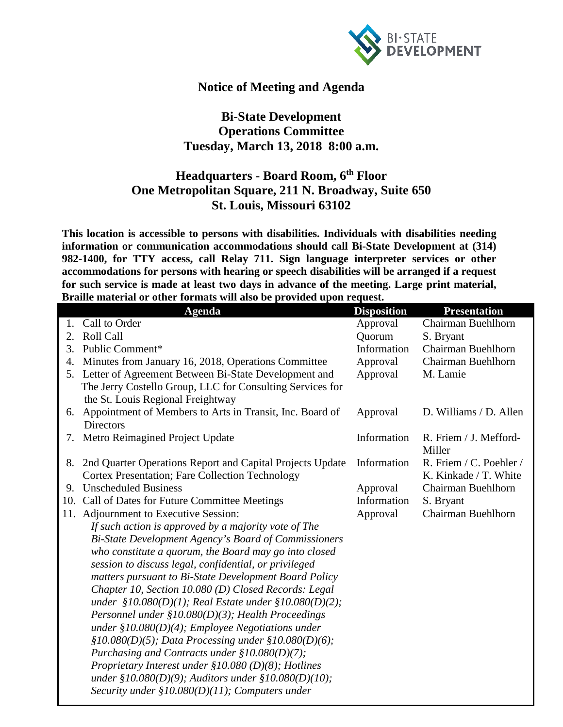

## **Notice of Meeting and Agenda**

## **Bi-State Development Operations Committee Tuesday, March 13, 2018 8:00 a.m.**

## **Headquarters - Board Room, 6th Floor One Metropolitan Square, 211 N. Broadway, Suite 650 St. Louis, Missouri 63102**

**This location is accessible to persons with disabilities. Individuals with disabilities needing information or communication accommodations should call Bi-State Development at (314) 982-1400, for TTY access, call Relay 711. Sign language interpreter services or other accommodations for persons with hearing or speech disabilities will be arranged if a request for such service is made at least two days in advance of the meeting. Large print material, Braille material or other formats will also be provided upon request.**

|     | Agenda                                                       | <b>Disposition</b> | <b>Presentation</b>              |
|-----|--------------------------------------------------------------|--------------------|----------------------------------|
| 1.  | Call to Order                                                | Approval           | Chairman Buehlhorn               |
| 2.  | Roll Call                                                    | Quorum             | S. Bryant                        |
| 3.  | Public Comment*                                              | Information        | Chairman Buehlhorn               |
| 4.  | Minutes from January 16, 2018, Operations Committee          | Approval           | Chairman Buehlhorn               |
| 5.  | Letter of Agreement Between Bi-State Development and         | Approval           | M. Lamie                         |
|     | The Jerry Costello Group, LLC for Consulting Services for    |                    |                                  |
|     | the St. Louis Regional Freightway                            |                    |                                  |
| 6.  | Appointment of Members to Arts in Transit, Inc. Board of     | Approval           | D. Williams / D. Allen           |
|     | <b>Directors</b>                                             |                    |                                  |
| 7.  | Metro Reimagined Project Update                              | Information        | R. Friem / J. Mefford-<br>Miller |
|     | 8. 2nd Quarter Operations Report and Capital Projects Update | Information        | R. Friem / C. Poehler /          |
|     | Cortex Presentation; Fare Collection Technology              |                    | K. Kinkade / T. White            |
| 9.  | <b>Unscheduled Business</b>                                  | Approval           | Chairman Buehlhorn               |
| 10. | Call of Dates for Future Committee Meetings                  | Information        | S. Bryant                        |
|     | 11. Adjournment to Executive Session:                        | Approval           | Chairman Buehlhorn               |
|     | If such action is approved by a majority vote of The         |                    |                                  |
|     | Bi-State Development Agency's Board of Commissioners         |                    |                                  |
|     | who constitute a quorum, the Board may go into closed        |                    |                                  |
|     | session to discuss legal, confidential, or privileged        |                    |                                  |
|     | matters pursuant to Bi-State Development Board Policy        |                    |                                  |
|     | Chapter 10, Section 10.080 (D) Closed Records: Legal         |                    |                                  |
|     | under $$10.080(D)(1)$ ; Real Estate under $$10.080(D)(2)$ ;  |                    |                                  |
|     | Personnel under $$10.080(D)(3)$ ; Health Proceedings         |                    |                                  |
|     | under $$10.080(D)(4);$ Employee Negotiations under           |                    |                                  |
|     | $$10.080(D)(5);$ Data Processing under $$10.080(D)(6);$      |                    |                                  |
|     | Purchasing and Contracts under $$10.080(D)(7);$              |                    |                                  |
|     | Proprietary Interest under $$10.080(D)(8)$ ; Hotlines        |                    |                                  |
|     | under §10.080(D)(9); Auditors under §10.080(D)(10);          |                    |                                  |
|     | Security under $$10.080(D)(11)$ ; Computers under            |                    |                                  |